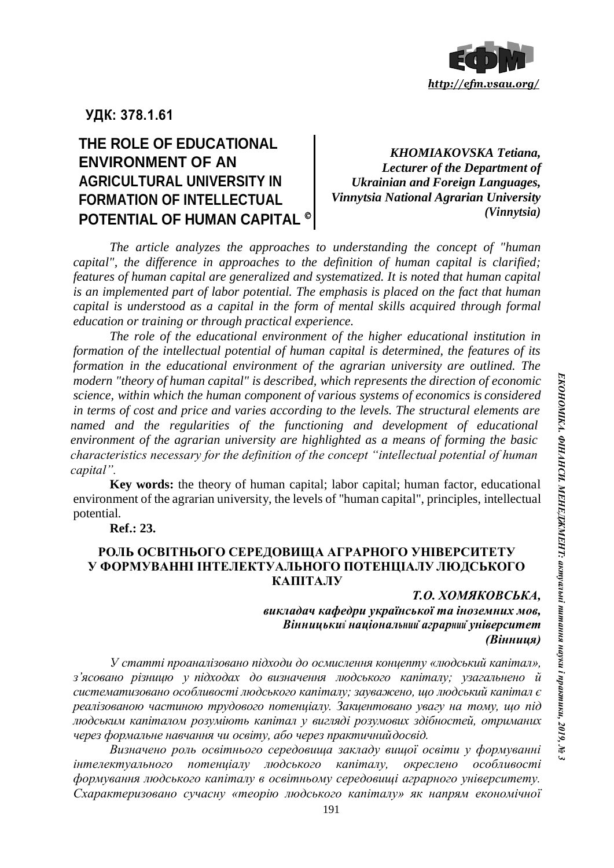

# **УДК: 378.1.61**

## **THE ROLE OF EDUCATIONAL ENVIRONMENT OF AN AGRICULTURAL UNIVERSITY IN FORMATION OF INTELLECTUAL POTENTIAL OF HUMAN CAPITAL**   $\overline{\phantom{a}}$

*KHOMIAKOVSKA Tetiana, Lecturer of the Department of Ukrainian and Foreign Languages, Vinnytsia National Agrarian University (Vinnytsia)*

*The article analyzes the approaches to understanding the concept of "human capital", the difference in approaches to the definition of human capital is clarified; features of human capital are generalized and systematized. It is noted that human capital is an implemented part of labor potential. The emphasis is placed on the fact that human capital is understood as a capital in the form of mental skills acquired through formal education or training or through practical experience.*

*The role of the educational environment of the higher educational institution in formation of the intellectual potential of human capital is determined, the features of its formation in the educational environment of the agrarian university are outlined. The modern "theory of human capital" is described, which represents the direction of economic science, within which the human component of various systems of economics is considered in terms of cost and price and varies according to the levels. The structural elements are named and the regularities of the functioning and development of educational environment of the agrarian university are highlighted as a means of forming the basic characteristics necessary for the definition of the concept "intellectual potential of human capital".*

**Key words:** the theory of human capital; labor capital; human factor, educational environment of the agrarian university, the levels of "human capital", principles, intellectual potential.

**Ref.: 23.**

### **РОЛЬ ОСВІТНЬОГО СЕРЕДОВИЩА АГРАРНОГО УНІВЕРСИТЕТУ У ФОРМУВАННІ ІНТЕЛЕКТУАЛЬНОГО ПОТЕНЦІАЛУ ЛЮДСЬКОГО КАПІТАЛУ**

### *Т.О. ХОМЯКОВСЬКА, викладач кафедри української та іноземних мов, Вінницький національнийаграрнийуніверситет (Вінниця)*

*У статті проаналізовано підходи до осмислення концепту «людський капітал», з'ясовано різницю у підходах до визначення людського капіталу; узагальнено й систематизовано особливості людського капіталу; зауважено, що людський капітал є реалізованою частиною трудового потенціалу. Закцентовано увагу на тому, що під людським капіталом розуміють капітал у вигляді розумових здібностей, отриманих через формальне навчання чи освіту, або через практичнийдосвід.*

*Визначено роль освітнього середовища закладу вищої освіти у формуванні інтелектуального потенціалу людського капіталу, окреслено особливості формування людського капіталу в освітньому середовищі аграрного університету. Схарактеризовано сучасну «теорію людського капіталу» як напрям економічної*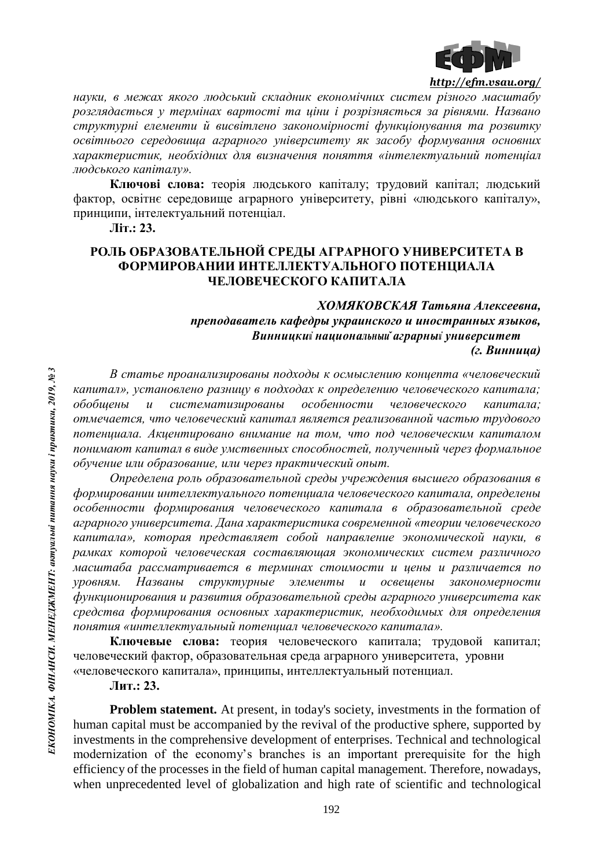

*науки, в межах якого людський складник економічних систем різного масштабу розглядається у термінах вартості та ціни і розрізняється за рівнями. Названо структурні елементи й висвітлено закономірності функціонування та розвитку освітнього середовища аграрного університету як засобу формування основних характеристик, необхідних для визначення поняття «інтелектуальний потенціал людського капіталу».*

**Ключові слова:** теорія людського капіталу; трудовий капітал; людський фактор, освітнє середовище аграрного університету, рівні «людського капіталу», принципи, інтелектуальний потенціал.

**Літ.: 23.**

## **РОЛЬ ОБРАЗОВАТЕЛЬНОЙ СРЕДЫ АГРАРНОГО УНИВЕРСИТЕТА В ФОРМИРОВАНИИ ИНТЕЛЛЕКТУАЛЬНОГО ПОТЕНЦИАЛА ЧЕЛОВЕЧЕСКОГО КАПИТАЛА**

### *ХОМЯКОВСКАЯ Татьяна Алексеевна, преподаватель кафедры украинского и иностранных языков, Винницкий национальныйаграрный университет (г. Винница)*

*В статье проанализированы подходы к осмыслению концепта «человеческий капитал», установлено разницу в подходах к определению человеческого капитала; обобщены и систематизированы особенности человеческого капитала; отмечается, что человеческий капитал является реализованной частью трудового потенциала. Акцентировано внимание на том, что под человеческим капиталом понимают капитал в виде умственных способностей, полученный через формальное обучение или образование, или через практический опыт.*

*Определена роль образовательной среды учреждения высшего образования в формировании интеллектуального потенциала человеческого капитала, определены особенности формирования человеческого капитала в образовательной среде аграрного университета. Дана характеристика современной «теории человеческого капитала», которая представляет собой направление экономической науки, в рамках которой человеческая составляющая экономических систем различного масштаба рассматривается в терминах стоимости и цены и различается по уровням. Названы структурные элементы и освещены закономерности функционирования и развития образовательной среды аграрного университета как средства формирования основных характеристик, необходимых для определения понятия «интеллектуальный потенциал человеческого капитала».*

**Ключевые слова:** теория человеческого капитала; трудовой капитал; человеческий фактор, образовательная среда аграрного университета, уровни «человеческого капитала», принципы, интеллектуальный потенциал.

**Лит.: 23.**

**Problem statement.** At present, in today's society, investments in the formation of human capital must be accompanied by the revival of the productive sphere, supported by investments in the comprehensive development of enterprises. Technical and technological modernization of the economy's branches is an important prerequisite for the high efficiency of the processes in the field of human capital management. Therefore, nowadays, when unprecedented level of globalization and high rate of scientific and technological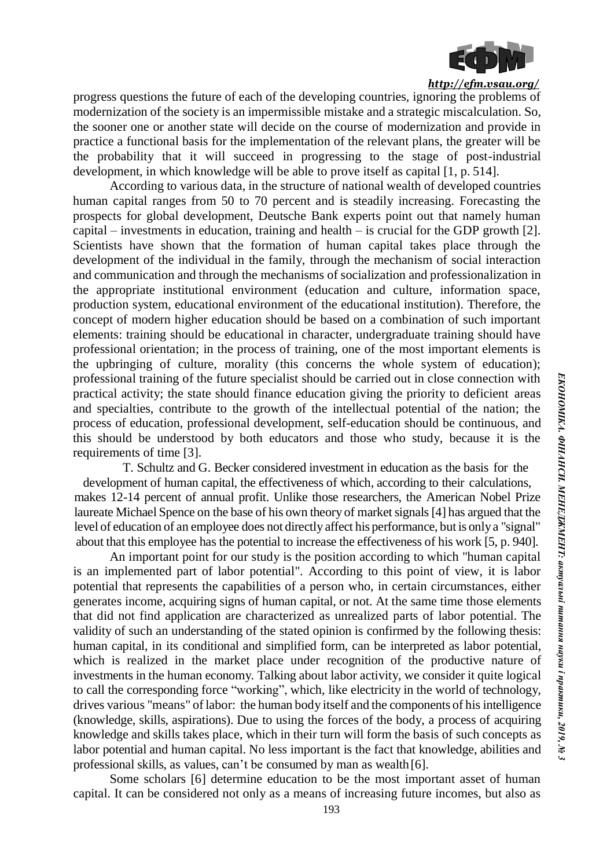

progress questions the future of each of the developing countries, ignoring the problems of modernization of the society is an impermissible mistake and a strategic miscalculation. So, the sooner one or another state will decide on the course of modernization and provide in practice a functional basis for the implementation of the relevant plans, the greater will be the probability that it will succeed in progressing to the stage of post-industrial development, in which knowledge will be able to prove itself as capital [1, p. 514].

According to various data, in the structure of national wealth of developed countries human capital ranges from 50 to 70 percent and is steadily increasing. Forecasting the prospects for global development, Deutsche Bank experts point out that namely human capital – investments in education, training and health – is crucial for the GDP growth [2]. Scientists have shown that the formation of human capital takes place through the development of the individual in the family, through the mechanism of social interaction and communication and through the mechanisms of socialization and professionalization in the appropriate institutional environment (education and culture, information space, production system, educational environment of the educational institution). Therefore, the concept of modern higher education should be based on a combination of such important elements: training should be educational in character, undergraduate training should have professional orientation; in the process of training, one of the most important elements is the upbringing of culture, morality (this concerns the whole system of education); professional training of the future specialist should be carried out in close connection with practical activity; the state should finance education giving the priority to deficient areas and specialties, contribute to the growth of the intellectual potential of the nation; the process of education, professional development, self-education should be continuous, and this should be understood by both educators and those who study, because it is the requirements of time [3].

T. Schultz and G. Becker considered investment in education as the basis for the development of human capital, the effectiveness of which, according to their calculations, makes 12-14 percent of annual profit. Unlike those researchers, the American Nobel Prize laureate Michael Spence on the base of his own theory of market signals [4] has argued that the level of education of an employee does not directly affect his performance, but is onlya "signal" about that this employee has the potential to increase the effectiveness of his work [5, p. 940].

An important point for our study is the position according to which "human capital is an implemented part of labor potential". According to this point of view, it is labor potential that represents the capabilities of a person who, in certain circumstances, either generates income, acquiring signs of human capital, or not. At the same time those elements that did not find application are characterized as unrealized parts of labor potential. The validity of such an understanding of the stated opinion is confirmed by the following thesis: human capital, in its conditional and simplified form, can be interpreted as labor potential, which is realized in the market place under recognition of the productive nature of investments in the human economy. Talking about labor activity, we consider it quite logical to call the corresponding force "working", which, like electricity in the world of technology, drives various "means" of labor: the human body itself and the components of his intelligence (knowledge, skills, aspirations). Due to using the forces of the body, a process of acquiring knowledge and skills takes place, which in their turn will form the basis of such concepts as labor potential and human capital. No less important is the fact that knowledge, abilities and professional skills, as values, can't be consumed by man as wealth[6].

Some scholars [6] determine education to be the most important asset of human capital. It can be considered not only as a means of increasing future incomes, but also as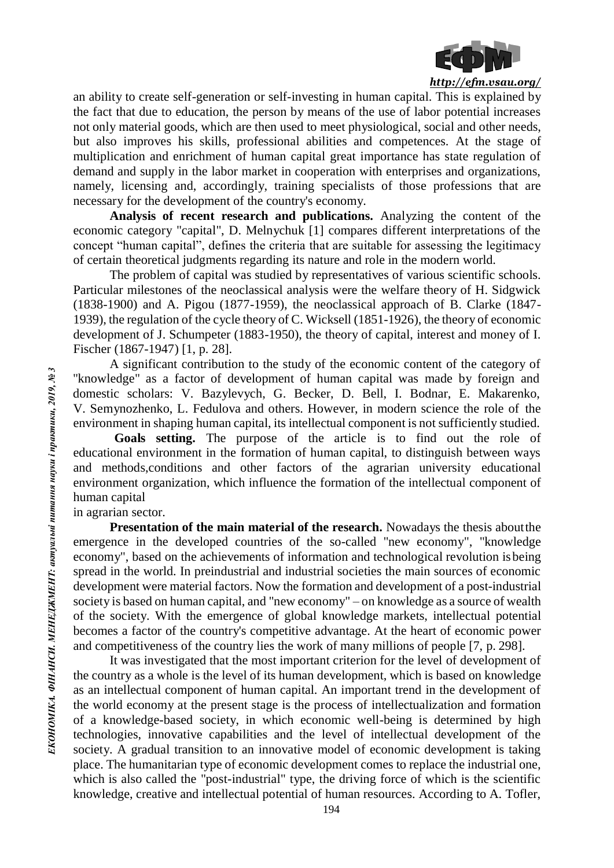

an ability to create self-generation or self-investing in human capital. This is explained by the fact that due to education, the person by means of the use of labor potential increases not only material goods, which are then used to meet physiological, social and other needs, but also improves his skills, professional abilities and competences. At the stage of multiplication and enrichment of human capital great importance has state regulation of demand and supply in the labor market in cooperation with enterprises and organizations, namely, licensing and, accordingly, training specialists of those professions that are necessary for the development of the country's economy.

**Analysis of recent research and publications.** Analyzing the content of the economic category "capital", D. Melnychuk [1] compares different interpretations of the concept "human capital", defines the criteria that are suitable for assessing the legitimacy of certain theoretical judgments regarding its nature and role in the modern world.

The problem of capital was studied by representatives of various scientific schools. Particular milestones of the neoclassical analysis were the welfare theory of H. Sidgwick (1838-1900) and A. Pigou (1877-1959), the neoclassical approach of B. Clarke (1847- 1939), the regulation of the cycle theory of C. Wicksell (1851-1926), the theory of economic development of J. Schumpeter (1883-1950), the theory of capital, interest and money of I. Fischer (1867-1947) [1, p. 28].

A significant contribution to the study of the economic content of the category of "knowledge" as a factor of development of human capital was made by foreign and domestic scholars: V. Bazylevych, G. Becker, D. Bell, I. Bodnar, E. Makarenko, V. Semynozhenko, L. Fedulova and others. However, in modern science the role of the environment in shaping human capital, its intellectual component is not sufficiently studied.

**Goals setting.** The purpose of the article is to find out the role of educational environment in the formation of human capital, to distinguish between ways and methods,conditions and other factors of the agrarian university educational environment organization, which influence the formation of the intellectual component of human capital

in agrarian sector.

**Presentation of the main material of the research.** Nowadays the thesis about the emergence in the developed countries of the so-called "new economy", "knowledge economy", based on the achievements of information and technological revolution isbeing spread in the world. In preindustrial and industrial societies the main sources of economic development were material factors. Now the formation and development of a post-industrial society is based on human capital, and "new economy" – on knowledge as a source of wealth of the society. With the emergence of global knowledge markets, intellectual potential becomes a factor of the country's competitive advantage. At the heart of economic power and competitiveness of the country lies the work of many millions of people [7, p. 298].

It was investigated that the most important criterion for the level of development of the country as a whole is the level of its human development, which is based on knowledge as an intellectual component of human capital. An important trend in the development of the world economy at the present stage is the process of intellectualization and formation of a knowledge-based society, in which economic well-being is determined by high technologies, innovative capabilities and the level of intellectual development of the society. A gradual transition to an innovative model of economic development is taking place. The humanitarian type of economic development comes to replace the industrial one, which is also called the "post-industrial" type, the driving force of which is the scientific knowledge, creative and intellectual potential of human resources. According to A. Tofler,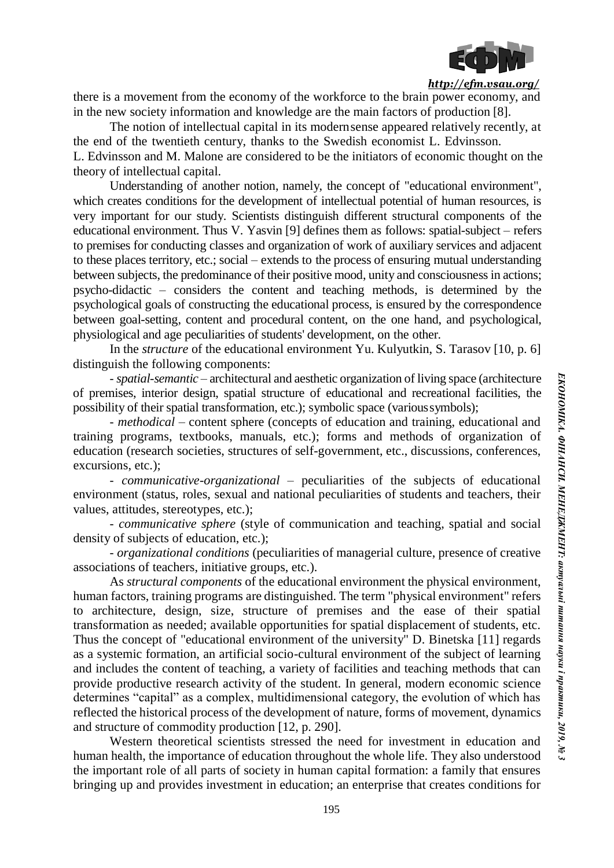

there is a movement from the economy of the workforce to the brain power economy, and in the new society information and knowledge are the main factors of production [8].

The notion of intellectual capital in its modernsense appeared relatively recently, at the end of the twentieth century, thanks to the Swedish economist L. Edvinsson. L. Edvinsson and M. Malone are considered to be the initiators of economic thought on the theory of intellectual capital.

Understanding of another notion, namely, the concept of "educational environment", which creates conditions for the development of intellectual potential of human resources, is very important for our study. Scientists distinguish different structural components of the educational environment. Thus V. Yasvin [9] defines them as follows: spatial-subject – refers to premises for conducting classes and organization of work of auxiliary services and adjacent to these places territory, etc.; social – extends to the process of ensuring mutual understanding between subjects, the predominance of their positive mood, unity and consciousness in actions; psycho-didactic – considers the content and teaching methods, is determined by the psychological goals of constructing the educational process, is ensured by the correspondence between goal-setting, content and procedural content, on the one hand, and psychological, physiological and age peculiarities of students' development, on the other.

In the *structure* of the educational environment Yu. Kulyutkin, S. Tarasov [10, p. 6] distinguish the following components:

- *spatial-semantic* – architectural and aesthetic organization of living space (architecture of premises, interior design, spatial structure of educational and recreational facilities, the possibility of their spatial transformation, etc.); symbolic space (varioussymbols);

- *methodical* – content sphere (concepts of education and training, educational and training programs, textbooks, manuals, etc.); forms and methods of organization of education (research societies, structures of self-government, etc., discussions, conferences, excursions, etc.);

- *communicative-organizational* – peculiarities of the subjects of educational environment (status, roles, sexual and national peculiarities of students and teachers, their values, attitudes, stereotypes, etc.);

- *communicative sphere* (style of communication and teaching, spatial and social density of subjects of education, etc.);

- *organizational conditions* (peculiarities of managerial culture, presence of creative associations of teachers, initiative groups, etc.).

As *structural components* of the educational environment the physical environment, human factors, training programs are distinguished. The term "physical environment" refers to architecture, design, size, structure of premises and the ease of their spatial transformation as needed; available opportunities for spatial displacement of students, etc. Thus the concept of "educational environment of the university" D. Binetska [11] regards as a systemic formation, an artificial socio-cultural environment of the subject of learning and includes the content of teaching, a variety of facilities and teaching methods that can provide productive research activity of the student. In general, modern economic science determines "capital" as a complex, multidimensional category, the evolution of which has reflected the historical process of the development of nature, forms of movement, dynamics and structure of commodity production [12, p. 290].

Western theoretical scientists stressed the need for investment in education and human health, the importance of education throughout the whole life. They also understood the important role of all parts of society in human capital formation: a family that ensures bringing up and provides investment in education; an enterprise that creates conditions for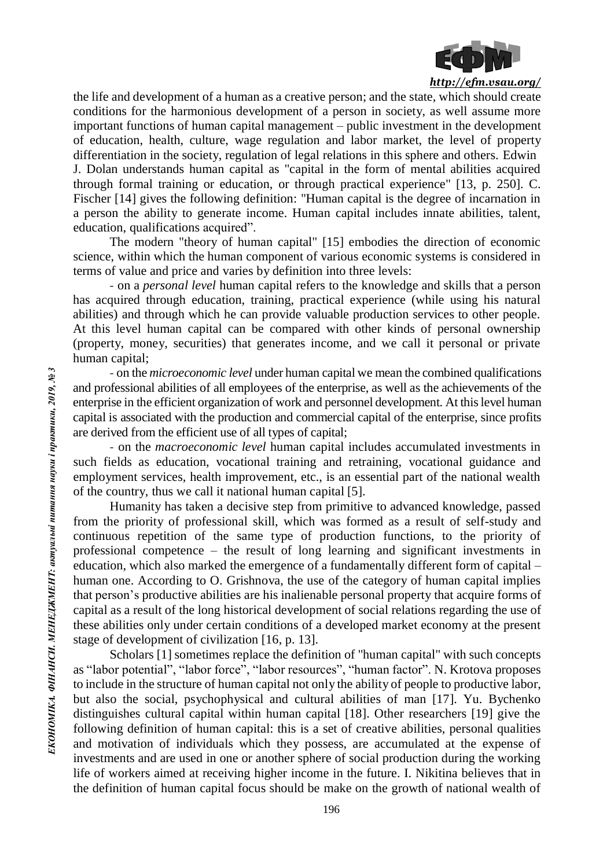

the life and development of a human as a creative person; and the state, which should create conditions for the harmonious development of a person in society, as well assume more important functions of human capital management – public investment in the development of education, health, culture, wage regulation and labor market, the level of property differentiation in the society, regulation of legal relations in this sphere and others. Edwin J. Dolan understands human capital as "capital in the form of mental abilities acquired through formal training or education, or through practical experience" [13, p. 250]. C. Fischer [14] gives the following definition: "Human capital is the degree of incarnation in a person the ability to generate income. Human capital includes innate abilities, talent, education, qualifications acquired".

The modern "theory of human capital" [15] embodies the direction of economic science, within which the human component of various economic systems is considered in terms of value and price and varies by definition into three levels:

- on a *personal level* human capital refers to the knowledge and skills that a person has acquired through education, training, practical experience (while using his natural abilities) and through which he can provide valuable production services to other people. At this level human capital can be compared with other kinds of personal ownership (property, money, securities) that generates income, and we call it personal or private human capital;

- on the *microeconomic level* under human capital we mean the combined qualifications and professional abilities of all employees of the enterprise, as well as the achievements of the enterprise in the efficient organization of work and personnel development. At this level human capital is associated with the production and commercial capital of the enterprise, since profits are derived from the efficient use of all types of capital;

- on the *macroeconomic level* human capital includes accumulated investments in such fields as education, vocational training and retraining, vocational guidance and employment services, health improvement, etc., is an essential part of the national wealth of the country, thus we call it national human capital [5].

Humanity has taken a decisive step from primitive to advanced knowledge, passed from the priority of professional skill, which was formed as a result of self-study and continuous repetition of the same type of production functions, to the priority of professional competence – the result of long learning and significant investments in education, which also marked the emergence of a fundamentally different form of capital – human one. According to O. Grishnova, the use of the category of human capital implies that person's productive abilities are his inalienable personal property that acquire forms of capital as a result of the long historical development of social relations regarding the use of these abilities only under certain conditions of a developed market economy at the present stage of development of civilization [16, p. 13].

Scholars [1] sometimes replace the definition of "human capital" with such concepts as "labor potential", "labor force", "labor resources", "human factor". N. Krotova proposes to include in the structure of human capital not only the ability of people to productive labor, but also the social, psychophysical and cultural abilities of man [17]. Yu. Bychenko distinguishes cultural capital within human capital [18]. Other researchers [19] give the following definition of human capital: this is a set of creative abilities, personal qualities and motivation of individuals which they possess, are accumulated at the expense of investments and are used in one or another sphere of social production during the working life of workers aimed at receiving higher income in the future. I. Nikitina believes that in the definition of human capital focus should be make on the growth of national wealth of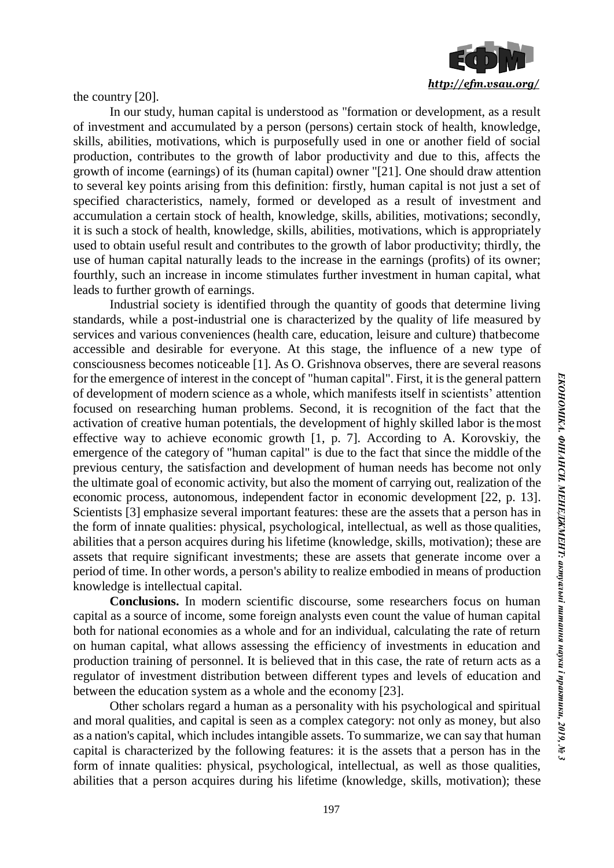

the country [20].

In our study, human capital is understood as "formation or development, as a result of investment and accumulated by a person (persons) certain stock of health, knowledge, skills, abilities, motivations, which is purposefully used in one or another field of social production, contributes to the growth of labor productivity and due to this, affects the growth of income (earnings) of its (human capital) owner "[21]. One should draw attention to several key points arising from this definition: firstly, human capital is not just a set of specified characteristics, namely, formed or developed as a result of investment and accumulation a certain stock of health, knowledge, skills, abilities, motivations; secondly, it is such a stock of health, knowledge, skills, abilities, motivations, which is appropriately used to obtain useful result and contributes to the growth of labor productivity; thirdly, the use of human capital naturally leads to the increase in the earnings (profits) of its owner; fourthly, such an increase in income stimulates further investment in human capital, what leads to further growth of earnings.

Industrial society is identified through the quantity of goods that determine living standards, while a post-industrial one is characterized by the quality of life measured by services and various conveniences (health care, education, leisure and culture) thatbecome accessible and desirable for everyone. At this stage, the influence of a new type of consciousness becomes noticeable [1]. As O. Grishnova observes, there are several reasons for the emergence of interest in the concept of "human capital". First, it is the general pattern of development of modern science as a whole, which manifests itself in scientists' attention focused on researching human problems. Second, it is recognition of the fact that the activation of creative human potentials, the development of highly skilled labor is themost effective way to achieve economic growth [1, p. 7]. According to A. Korovskiy, the emergence of the category of "human capital" is due to the fact that since the middle of the previous century, the satisfaction and development of human needs has become not only the ultimate goal of economic activity, but also the moment of carrying out, realization of the economic process, autonomous, independent factor in economic development [22, p. 13]. Scientists [3] emphasize several important features: these are the assets that a person has in the form of innate qualities: physical, psychological, intellectual, as well as those qualities, abilities that a person acquires during his lifetime (knowledge, skills, motivation); these are assets that require significant investments; these are assets that generate income over a period of time. In other words, a person's ability to realize embodied in means of production knowledge is intellectual capital.

**Conclusions.** In modern scientific discourse, some researchers focus on human capital as a source of income, some foreign analysts even count the value of human capital both for national economies as a whole and for an individual, calculating the rate of return on human capital, what allows assessing the efficiency of investments in education and production training of personnel. It is believed that in this case, the rate of return acts as a regulator of investment distribution between different types and levels of education and between the education system as a whole and the economy [23].

Other scholars regard a human as a personality with his psychological and spiritual and moral qualities, and capital is seen as a complex category: not only as money, but also as a nation's capital, which includes intangible assets. To summarize, we can say that human capital is characterized by the following features: it is the assets that a person has in the form of innate qualities: physical, psychological, intellectual, as well as those qualities, abilities that a person acquires during his lifetime (knowledge, skills, motivation); these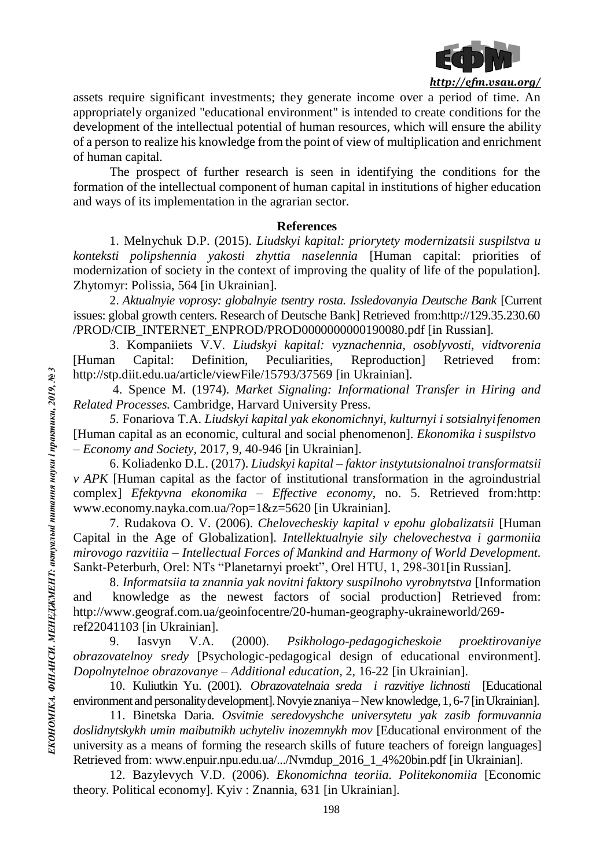

assets require significant investments; they generate income over a period of time. An appropriately organized "educational environment" is intended to create conditions for the development of the intellectual potential of human resources, which will ensure the ability of a person to realize his knowledge from the point of view of multiplication and enrichment of human capital.

The prospect of further research is seen in identifying the conditions for the formation of the intellectual component of human capital in institutions of higher education and ways of its implementation in the agrarian sector.

#### **References**

1. Melnychuk D.P. (2015). *Liudskyi kapital: priorytety modernizatsii suspilstva u konteksti polipshennia yakosti zhyttia naselennia* [Human capital: priorities of modernization of society in the context of improving the quality of life of the population]. Zhytomyr: Polissia, 564 [in Ukrainian].

2. *Aktualnyie voprosy: globalnyie tsentry rosta. Issledovanyia Deutsche Bank* [Current issues: global growth centers. Research of Deutsche Bank] Retrieved from[:http://129.35.230.60](http://129.35.230.60/) /PROD/CIB\_INTERNET\_ENPROD/PROD0000000000190080.pdf [in Russian].

3. Kompaniiets V.V. *Liudskyi kapital: vyznachennia, osoblyvosti, vidtvorenia*  [Human Capital: Definition, Peculiarities, Reproduction] Retrieved from: [http://stp.diit.edu.ua/article/viewFile/15793/37569 \[](http://stp.diit.edu.ua/article/viewFile/15793/37569)in Ukrainian].

4. Spence M. (1974). *Market Signaling: Informational Transfer in Hiring and Related Processes.* Cambridge, Harvard University Press.

*5.* Fonariova T.A. *Liudskyi kapital yak ekonomichnyi, kulturnyi i sotsialnyifenomen* [Human capital as an economic, cultural and social phenomenon]. *Ekonomika i suspilstvo – Economy and Society*, 2017, 9, 40-946 [in Ukrainian].

6. Koliadenko D.L. (2017). *Liudskyi kapital – faktor instytutsionalnoi transformatsii v APK* [Human capital as the factor of institutional transformation in the agroindustrial complex] *Efektyvna ekonomika – Effective economy*, no. 5. Retrieved from:http: [www.economy.nayka.com.ua/?op=1&z=5620 \[](http://www.economy.nayka.com.ua/?op=1&z=5620)in Ukrainian].

7. Rudakova O. V. (2006). *Chelovecheskiy kapital v epohu globalizatsii* [Human Capital in the Age of Globalization]. *Intellektualnyie sily chelovechestva i garmoniia mirovogo razvitiia – Intellectual Forces of Mankind and Harmony of World Development.*  Sankt-Peterburh, Orel: NTs "Planetarnyi proekt", Orel HTU, 1, 298-301[in Russian].

8. *Informatsiia ta znannia yak novitni faktory suspilnoho vyrobnytstva* [Information and knowledge as the newest factors of social production] Retrieved from: [http://www.geograf.com.ua/geoinfocentre/20-human-geography-ukraineworld/269](http://www.geograf.com.ua/geoinfocentre/20-human-geography-ukraineworld/269-) ref22041103 [in Ukrainian].

9. Iasvyn V.A. (2000). *Psikhologo-pedagogicheskoie proektirovaniye obrazovatelnoy sredy* [Psychologic-pedagogical design of educational environment]. *Dopolnytelnoe obrazovanye – Additional education*, 2, 16-22 [in Ukrainian].

10. Kuliutkin Yu. (2001). *Obrazovatelnaia sreda i razvitiye lichnosti* [Educational environment and personality development]. Novyie znaniya – New knowledge, 1, 6-7 [in Ukrainian].

11. Binetska Daria. *Osvitnie seredovyshche universytetu yak zasib formuvannia*  doslidnytskykh umin maibutnikh uchyteliv inozemnykh mov [Educational environment of the university as a means of forming the research skills of future teachers of foreign languages] Retrieved from: [www.enpuir.npu.edu.ua/.../Nvmdup\\_2016\\_1\\_4%20bin.pdf](http://www.enpuir.npu.edu.ua/.../Nvmdup_2016_1_4%20bin.pdf) [in Ukrainian].

12. Bazylevych V.D. (2006). *Ekonomichna teoriia. Politekonomiia* [Economic theory. Political economy]. Kyiv : Znannia, 631 [in Ukrainian].